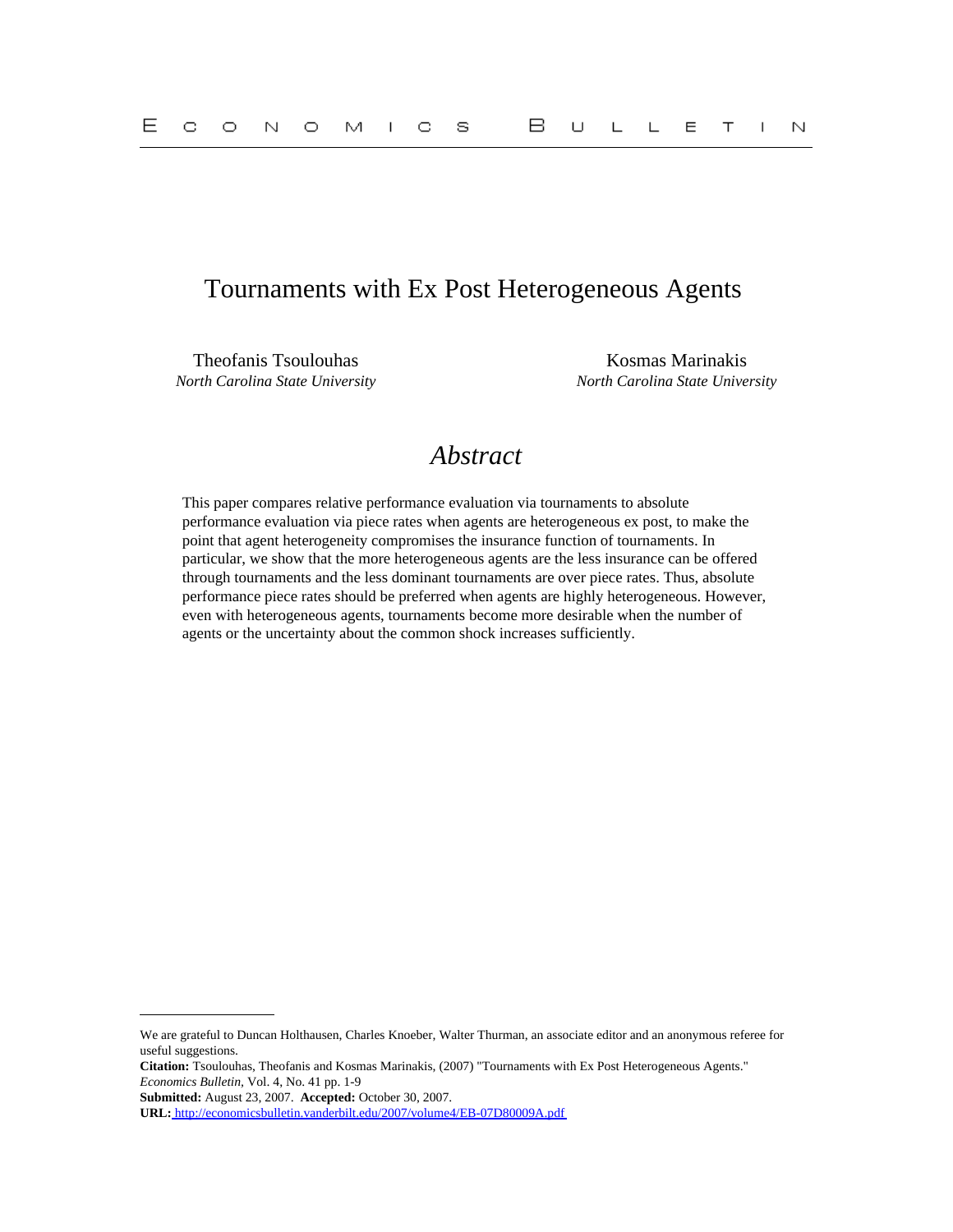## Tournaments with Ex Post Heterogeneous Agents

Theofanis Tsoulouhas **Kosmas Marinakis** Kosmas Marinakis *North Carolina State University North Carolina State University*

# *Abstract*

This paper compares relative performance evaluation via tournaments to absolute performance evaluation via piece rates when agents are heterogeneous ex post, to make the point that agent heterogeneity compromises the insurance function of tournaments. In particular, we show that the more heterogeneous agents are the less insurance can be offered through tournaments and the less dominant tournaments are over piece rates. Thus, absolute performance piece rates should be preferred when agents are highly heterogeneous. However, even with heterogeneous agents, tournaments become more desirable when the number of agents or the uncertainty about the common shock increases sufficiently.

We are grateful to Duncan Holthausen, Charles Knoeber, Walter Thurman, an associate editor and an anonymous referee for useful suggestions.

**Citation:** Tsoulouhas, Theofanis and Kosmas Marinakis, (2007) "Tournaments with Ex Post Heterogeneous Agents." *Economics Bulletin,* Vol. 4, No. 41 pp. 1-9

**Submitted:** August 23, 2007. **Accepted:** October 30, 2007.

**URL:**<http://economicsbulletin.vanderbilt.edu/2007/volume4/EB-07D80009A.pdf>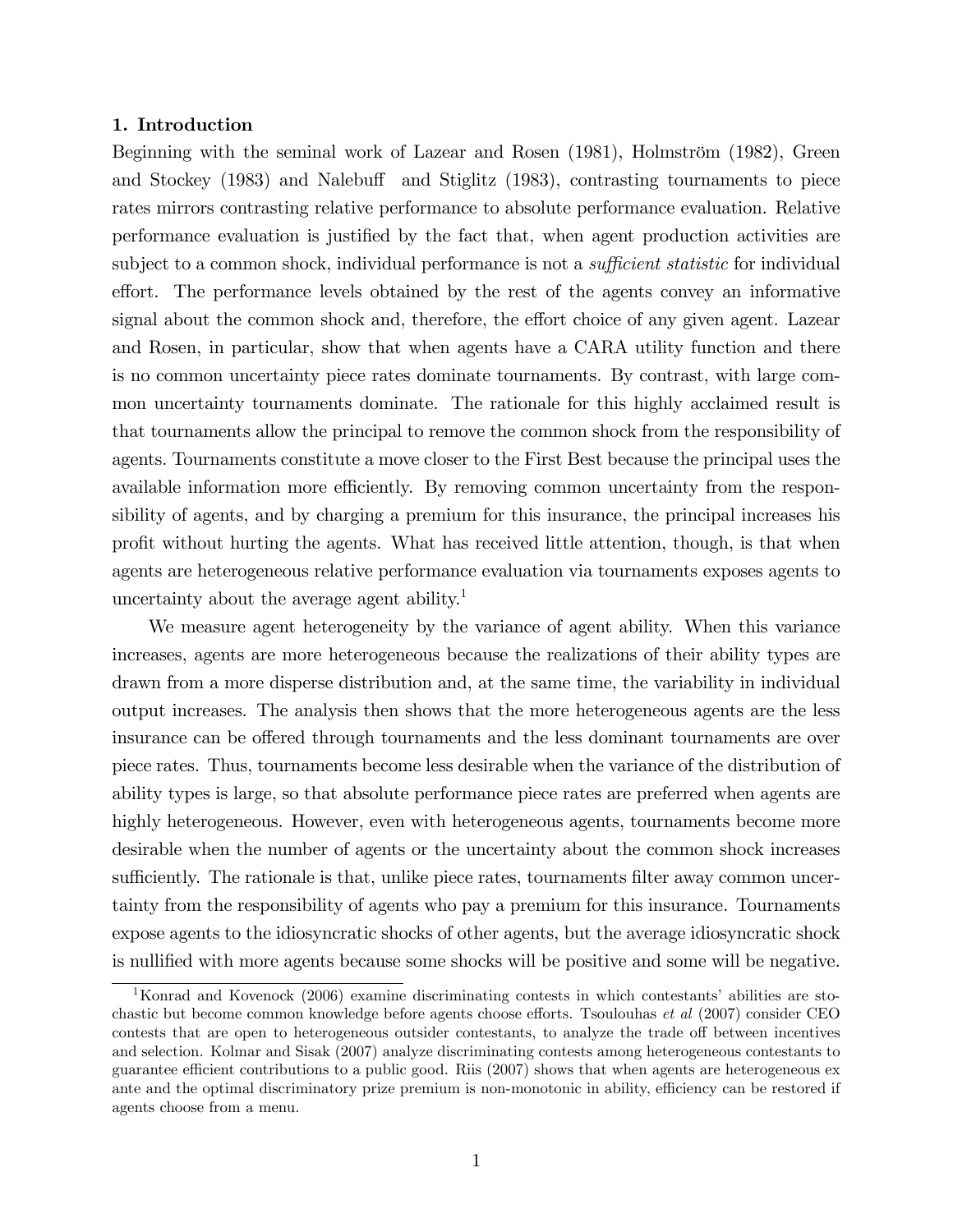## 1. Introduction

Beginning with the seminal work of Lazear and Rosen (1981), Holmström (1982), Green and Stockey (1983) and Nalebuff and Stiglitz (1983), contrasting tournaments to piece rates mirrors contrasting relative performance to absolute performance evaluation. Relative performance evaluation is justified by the fact that, when agent production activities are subject to a common shock, individual performance is not a *sufficient statistic* for individual effort. The performance levels obtained by the rest of the agents convey an informative signal about the common shock and, therefore, the effort choice of any given agent. Lazear and Rosen, in particular, show that when agents have a CARA utility function and there is no common uncertainty piece rates dominate tournaments. By contrast, with large common uncertainty tournaments dominate. The rationale for this highly acclaimed result is that tournaments allow the principal to remove the common shock from the responsibility of agents. Tournaments constitute a move closer to the First Best because the principal uses the available information more efficiently. By removing common uncertainty from the responsibility of agents, and by charging a premium for this insurance, the principal increases his proÖt without hurting the agents. What has received little attention, though, is that when agents are heterogeneous relative performance evaluation via tournaments exposes agents to uncertainty about the average agent ability.<sup>1</sup>

We measure agent heterogeneity by the variance of agent ability. When this variance increases, agents are more heterogeneous because the realizations of their ability types are drawn from a more disperse distribution and, at the same time, the variability in individual output increases. The analysis then shows that the more heterogeneous agents are the less insurance can be offered through tournaments and the less dominant tournaments are over piece rates. Thus, tournaments become less desirable when the variance of the distribution of ability types is large, so that absolute performance piece rates are preferred when agents are highly heterogeneous. However, even with heterogeneous agents, tournaments become more desirable when the number of agents or the uncertainty about the common shock increases sufficiently. The rationale is that, unlike piece rates, tournaments filter away common uncertainty from the responsibility of agents who pay a premium for this insurance. Tournaments expose agents to the idiosyncratic shocks of other agents, but the average idiosyncratic shock is nullified with more agents because some shocks will be positive and some will be negative.

<sup>&</sup>lt;sup>1</sup>Konrad and Kovenock (2006) examine discriminating contests in which contestants' abilities are stochastic but become common knowledge before agents choose efforts. Tsoulouhas et al (2007) consider CEO contests that are open to heterogeneous outsider contestants, to analyze the trade off between incentives and selection. Kolmar and Sisak (2007) analyze discriminating contests among heterogeneous contestants to guarantee efficient contributions to a public good. Riis (2007) shows that when agents are heterogeneous ex ante and the optimal discriminatory prize premium is non-monotonic in ability, efficiency can be restored if agents choose from a menu.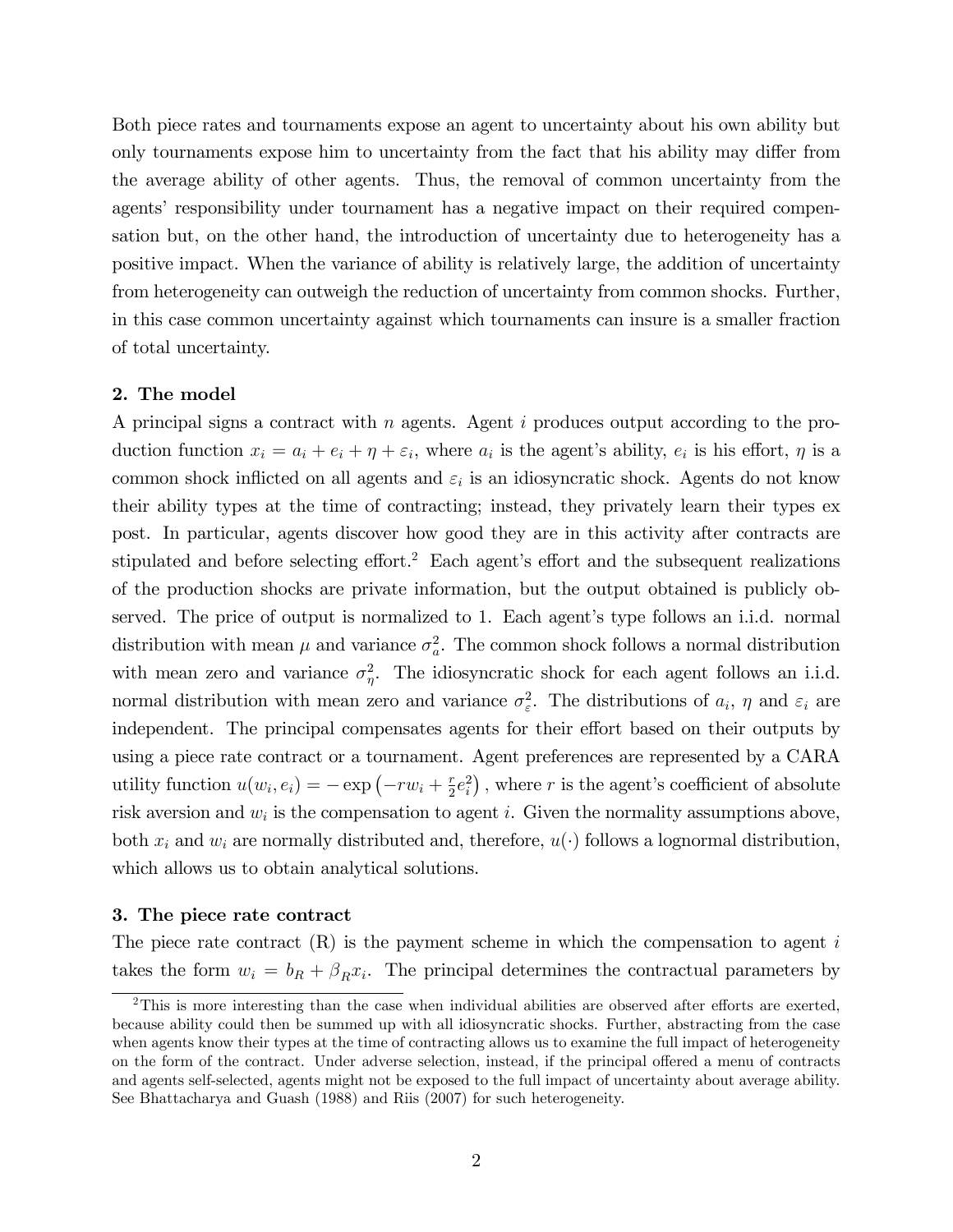Both piece rates and tournaments expose an agent to uncertainty about his own ability but only tournaments expose him to uncertainty from the fact that his ability may differ from the average ability of other agents. Thus, the removal of common uncertainty from the agents' responsibility under tournament has a negative impact on their required compensation but, on the other hand, the introduction of uncertainty due to heterogeneity has a positive impact. When the variance of ability is relatively large, the addition of uncertainty from heterogeneity can outweigh the reduction of uncertainty from common shocks. Further, in this case common uncertainty against which tournaments can insure is a smaller fraction of total uncertainty.

## 2. The model

A principal signs a contract with n agents. Agent  $i$  produces output according to the production function  $x_i = a_i + e_i + \eta + \varepsilon_i$ , where  $a_i$  is the agent's ability,  $e_i$  is his effort,  $\eta$  is a common shock inflicted on all agents and  $\varepsilon_i$  is an idiosyncratic shock. Agents do not know their ability types at the time of contracting; instead, they privately learn their types ex post. In particular, agents discover how good they are in this activity after contracts are stipulated and before selecting effort.<sup>2</sup> Each agent's effort and the subsequent realizations of the production shocks are private information, but the output obtained is publicly observed. The price of output is normalized to 1. Each agent's type follows an i.i.d. normal distribution with mean  $\mu$  and variance  $\sigma_a^2$ . The common shock follows a normal distribution with mean zero and variance  $\sigma_{\eta}^2$ . The idiosyncratic shock for each agent follows an i.i.d. normal distribution with mean zero and variance  $\sigma_{\varepsilon}^2$ . The distributions of  $a_i$ ,  $\eta$  and  $\varepsilon_i$  are independent. The principal compensates agents for their effort based on their outputs by using a piece rate contract or a tournament. Agent preferences are represented by a CARA utility function  $u(w_i, e_i) = -\exp(-rw_i + \frac{r}{2})$  $\frac{r}{2}e_i^2$ , where r is the agent's coefficient of absolute risk aversion and  $w_i$  is the compensation to agent *i*. Given the normality assumptions above, both  $x_i$  and  $w_i$  are normally distributed and, therefore,  $u(\cdot)$  follows a lognormal distribution, which allows us to obtain analytical solutions.

## 3. The piece rate contract

The piece rate contract  $(R)$  is the payment scheme in which the compensation to agent i takes the form  $w_i = b_R + \beta_R x_i$ . The principal determines the contractual parameters by

 $2$ This is more interesting than the case when individual abilities are observed after efforts are exerted, because ability could then be summed up with all idiosyncratic shocks. Further, abstracting from the case when agents know their types at the time of contracting allows us to examine the full impact of heterogeneity on the form of the contract. Under adverse selection, instead, if the principal offered a menu of contracts and agents self-selected, agents might not be exposed to the full impact of uncertainty about average ability. See Bhattacharya and Guash (1988) and Riis (2007) for such heterogeneity.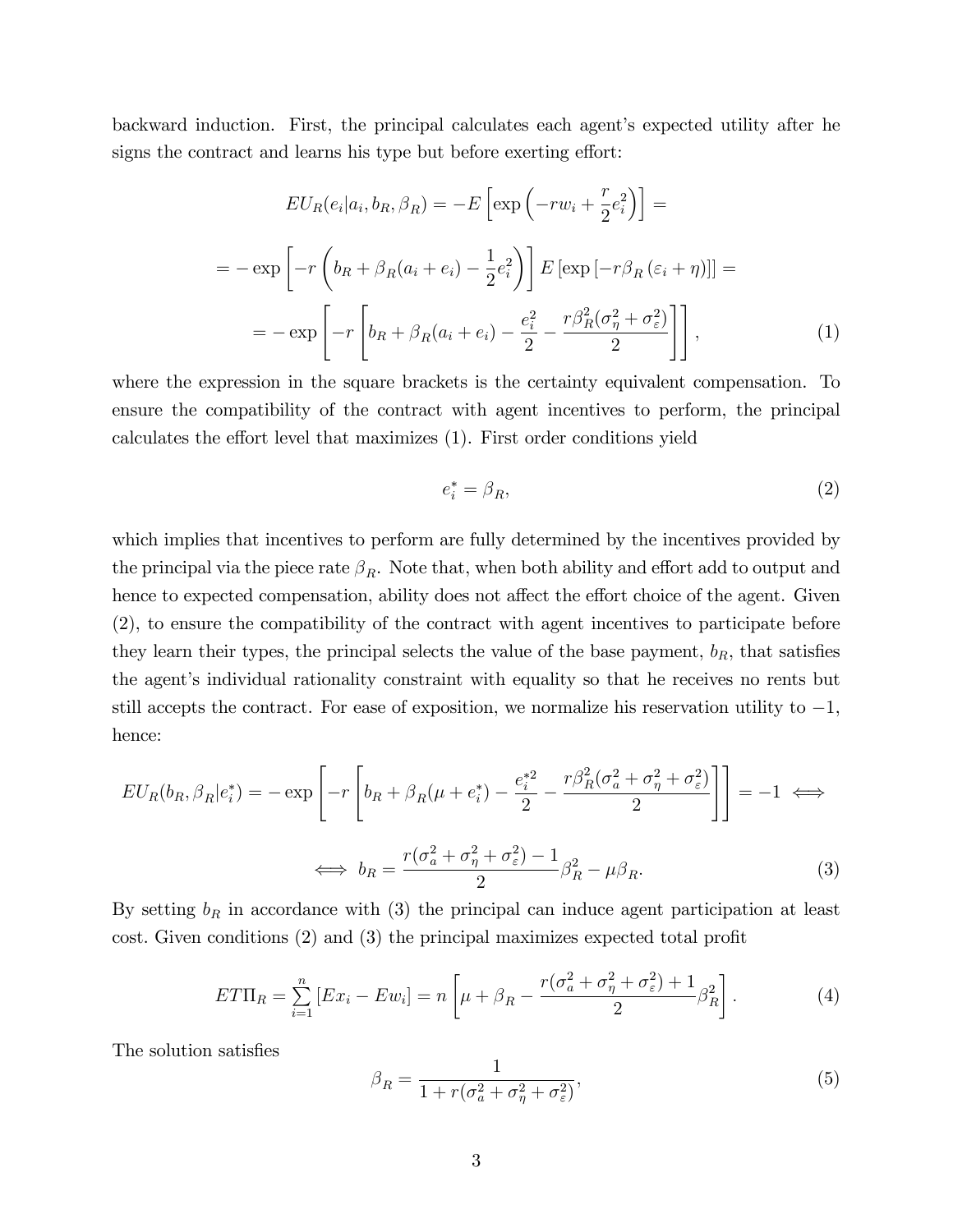backward induction. First, the principal calculates each agent's expected utility after he signs the contract and learns his type but before exerting effort:

$$
EU_R(e_i|a_i, b_R, \beta_R) = -E\left[\exp\left(-rw_i + \frac{r}{2}e_i^2\right)\right] =
$$
  

$$
= -\exp\left[-r\left(b_R + \beta_R(a_i + e_i) - \frac{1}{2}e_i^2\right)\right]E\left[\exp\left[-r\beta_R\left(\varepsilon_i + \eta\right)\right]\right] =
$$
  

$$
= -\exp\left[-r\left[b_R + \beta_R(a_i + e_i) - \frac{e_i^2}{2} - \frac{r\beta_R^2(\sigma_\eta^2 + \sigma_\varepsilon^2)}{2}\right]\right],
$$
 (1)

where the expression in the square brackets is the certainty equivalent compensation. To ensure the compatibility of the contract with agent incentives to perform, the principal calculates the effort level that maximizes  $(1)$ . First order conditions yield

$$
e_i^* = \beta_R,\tag{2}
$$

which implies that incentives to perform are fully determined by the incentives provided by the principal via the piece rate  $\beta_R$ . Note that, when both ability and effort add to output and hence to expected compensation, ability does not affect the effort choice of the agent. Given (2), to ensure the compatibility of the contract with agent incentives to participate before they learn their types, the principal selects the value of the base payment,  $b_R$ , that satisfies the agent's individual rationality constraint with equality so that he receives no rents but still accepts the contract. For ease of exposition, we normalize his reservation utility to  $-1$ , hence:

$$
EU_R(b_R, \beta_R | e_i^*) = -\exp\left[-r\left[b_R + \beta_R(\mu + e_i^*) - \frac{e_i^{*2}}{2} - \frac{r\beta_R^2(\sigma_a^2 + \sigma_\eta^2 + \sigma_\varepsilon^2)}{2}\right]\right] = -1 \iff
$$
  

$$
\iff b_R = \frac{r(\sigma_a^2 + \sigma_\eta^2 + \sigma_\varepsilon^2) - 1}{2}\beta_R^2 - \mu\beta_R.
$$
 (3)

By setting  $b_R$  in accordance with (3) the principal can induce agent participation at least cost. Given conditions  $(2)$  and  $(3)$  the principal maximizes expected total profit

$$
ET\Pi_R = \sum_{i=1}^n \left[ Ex_i - Ew_i \right] = n \left[ \mu + \beta_R - \frac{r(\sigma_a^2 + \sigma_\eta^2 + \sigma_\varepsilon^2) + 1}{2} \beta_R^2 \right]. \tag{4}
$$

The solution satisfies

$$
\beta_R = \frac{1}{1 + r(\sigma_a^2 + \sigma_\eta^2 + \sigma_\varepsilon^2)},\tag{5}
$$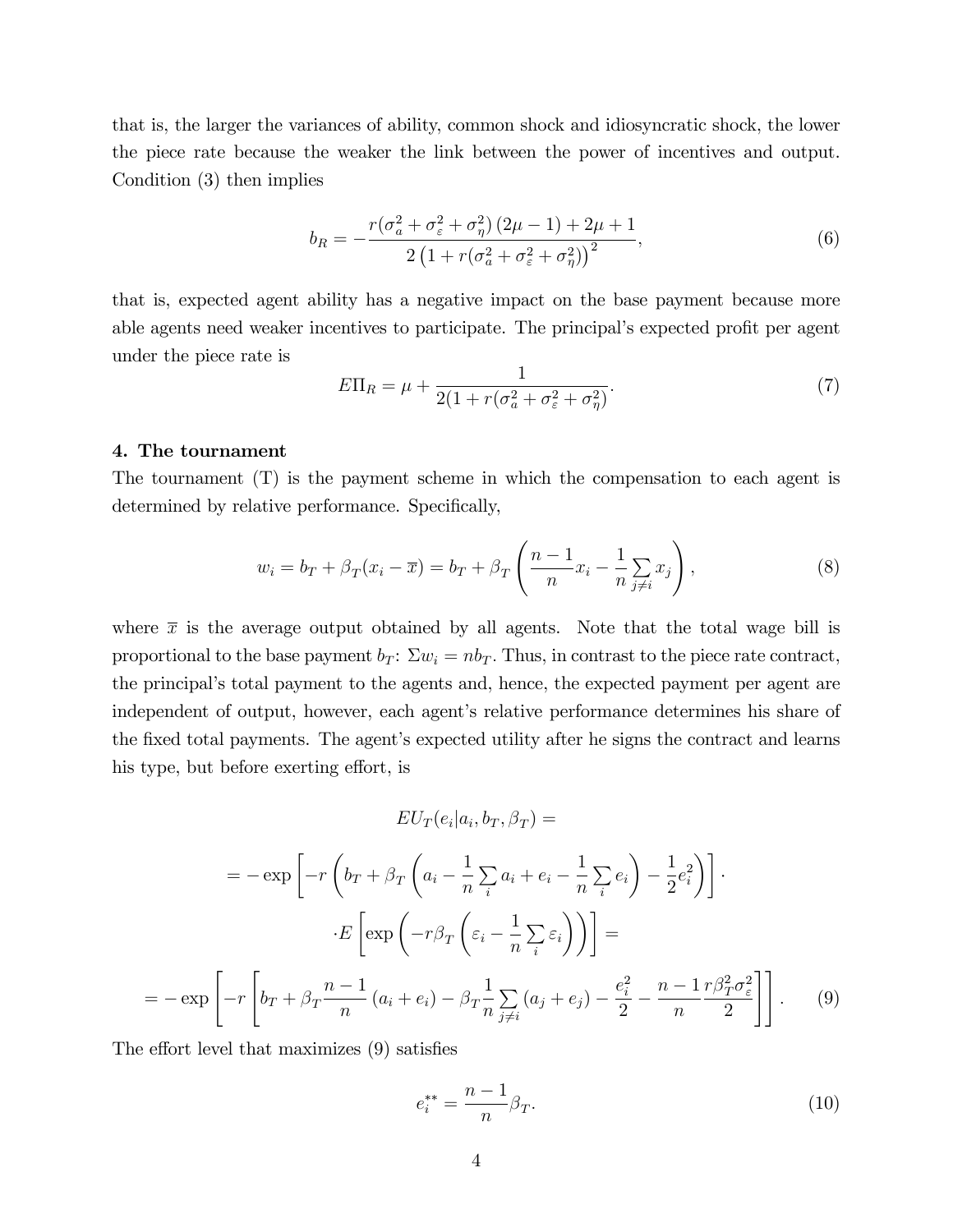that is, the larger the variances of ability, common shock and idiosyncratic shock, the lower the piece rate because the weaker the link between the power of incentives and output. Condition (3) then implies

$$
b_R = -\frac{r(\sigma_a^2 + \sigma_\varepsilon^2 + \sigma_\eta^2)(2\mu - 1) + 2\mu + 1}{2\left(1 + r(\sigma_a^2 + \sigma_\varepsilon^2 + \sigma_\eta^2)\right)^2},\tag{6}
$$

that is, expected agent ability has a negative impact on the base payment because more able agents need weaker incentives to participate. The principal's expected profit per agent under the piece rate is

$$
E\Pi_R = \mu + \frac{1}{2(1 + r(\sigma_a^2 + \sigma_\varepsilon^2 + \sigma_\eta^2)}.\tag{7}
$$

#### 4. The tournament

The tournament (T) is the payment scheme in which the compensation to each agent is determined by relative performance. Specifically,

$$
w_i = b_T + \beta_T (x_i - \overline{x}) = b_T + \beta_T \left( \frac{n-1}{n} x_i - \frac{1}{n} \sum_{j \neq i} x_j \right),\tag{8}
$$

where  $\bar{x}$  is the average output obtained by all agents. Note that the total wage bill is proportional to the base payment  $b_T$ :  $\Sigma w_i = nb_T$ . Thus, in contrast to the piece rate contract, the principal's total payment to the agents and, hence, the expected payment per agent are independent of output, however, each agent's relative performance determines his share of the fixed total payments. The agent's expected utility after he signs the contract and learns his type, but before exerting effort, is

$$
EU_T(e_i|a_i, b_T, \beta_T) =
$$

$$
= -\exp\left[-r\left(b_T + \beta_T\left(a_i - \frac{1}{n}\sum_i a_i + e_i - \frac{1}{n}\sum_i e_i\right) - \frac{1}{2}e_i^2\right)\right].
$$

$$
\cdot E\left[\exp\left(-r\beta_T\left(\varepsilon_i - \frac{1}{n}\sum_i \varepsilon_i\right)\right)\right] =
$$

$$
= -\exp\left[-r\left[b_T + \beta_T\frac{n-1}{n}\left(a_i + e_i\right) - \beta_T\frac{1}{n}\sum_{j\neq i}\left(a_j + e_j\right) - \frac{e_i^2}{2} - \frac{n-1}{n}\frac{r\beta_T^2\sigma_{\varepsilon}^2}{2}\right]\right].
$$
(9)

The effort level that maximizes  $(9)$  satisfies

$$
e_i^{**} = \frac{n-1}{n} \beta_T.
$$
 (10)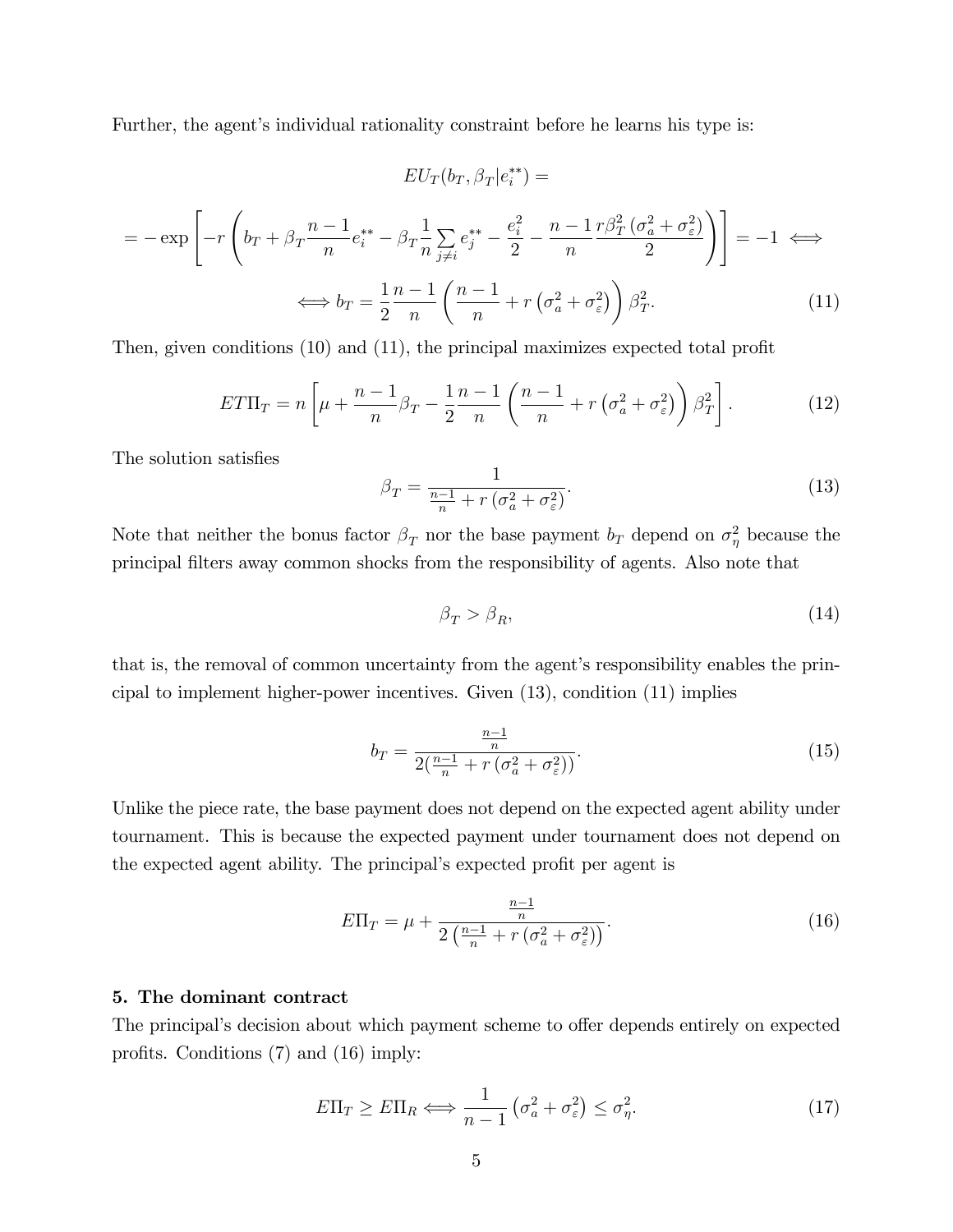Further, the agent's individual rationality constraint before he learns his type is:

$$
EU_T(b_T, \beta_T | e_i^{**}) =
$$

$$
= -\exp\left[-r\left(b_T + \beta_T \frac{n-1}{n}e_i^{**} - \beta_T \frac{1}{n}\sum_{j\neq i}e_j^{**} - \frac{e_i^2}{2} - \frac{n-1}{n}\frac{r\beta_T^2(\sigma_a^2 + \sigma_\varepsilon^2)}{2}\right)\right] = -1 \iff
$$

$$
\iff b_T = \frac{1}{2}\frac{n-1}{n}\left(\frac{n-1}{n} + r\left(\sigma_a^2 + \sigma_\varepsilon^2\right)\right)\beta_T^2. \tag{11}
$$

Then, given conditions  $(10)$  and  $(11)$ , the principal maximizes expected total profit

$$
ET\Pi_T = n \left[ \mu + \frac{n-1}{n} \beta_T - \frac{1}{2} \frac{n-1}{n} \left( \frac{n-1}{n} + r \left( \sigma_a^2 + \sigma_\varepsilon^2 \right) \right) \beta_T^2 \right]. \tag{12}
$$

The solution satisfies

$$
\beta_T = \frac{1}{\frac{n-1}{n} + r\left(\sigma_a^2 + \sigma_\varepsilon^2\right)}.\tag{13}
$$

Note that neither the bonus factor  $\beta_T$  nor the base payment  $b_T$  depend on  $\sigma_\eta^2$  because the principal Ölters away common shocks from the responsibility of agents. Also note that

$$
\beta_T > \beta_R,\tag{14}
$$

that is, the removal of common uncertainty from the agent's responsibility enables the principal to implement higher-power incentives. Given (13), condition (11) implies

$$
b_T = \frac{\frac{n-1}{n}}{2(\frac{n-1}{n} + r\left(\sigma_a^2 + \sigma_\varepsilon^2\right))}.\tag{15}
$$

Unlike the piece rate, the base payment does not depend on the expected agent ability under tournament. This is because the expected payment under tournament does not depend on the expected agent ability. The principal's expected profit per agent is

$$
E\Pi_T = \mu + \frac{\frac{n-1}{n}}{2\left(\frac{n-1}{n} + r\left(\sigma_a^2 + \sigma_\varepsilon^2\right)\right)}.\tag{16}
$$

#### 5. The dominant contract

The principal's decision about which payment scheme to offer depends entirely on expected profits. Conditions  $(7)$  and  $(16)$  imply:

$$
E\Pi_T \ge E\Pi_R \Longleftrightarrow \frac{1}{n-1} \left(\sigma_a^2 + \sigma_\varepsilon^2\right) \le \sigma_\eta^2. \tag{17}
$$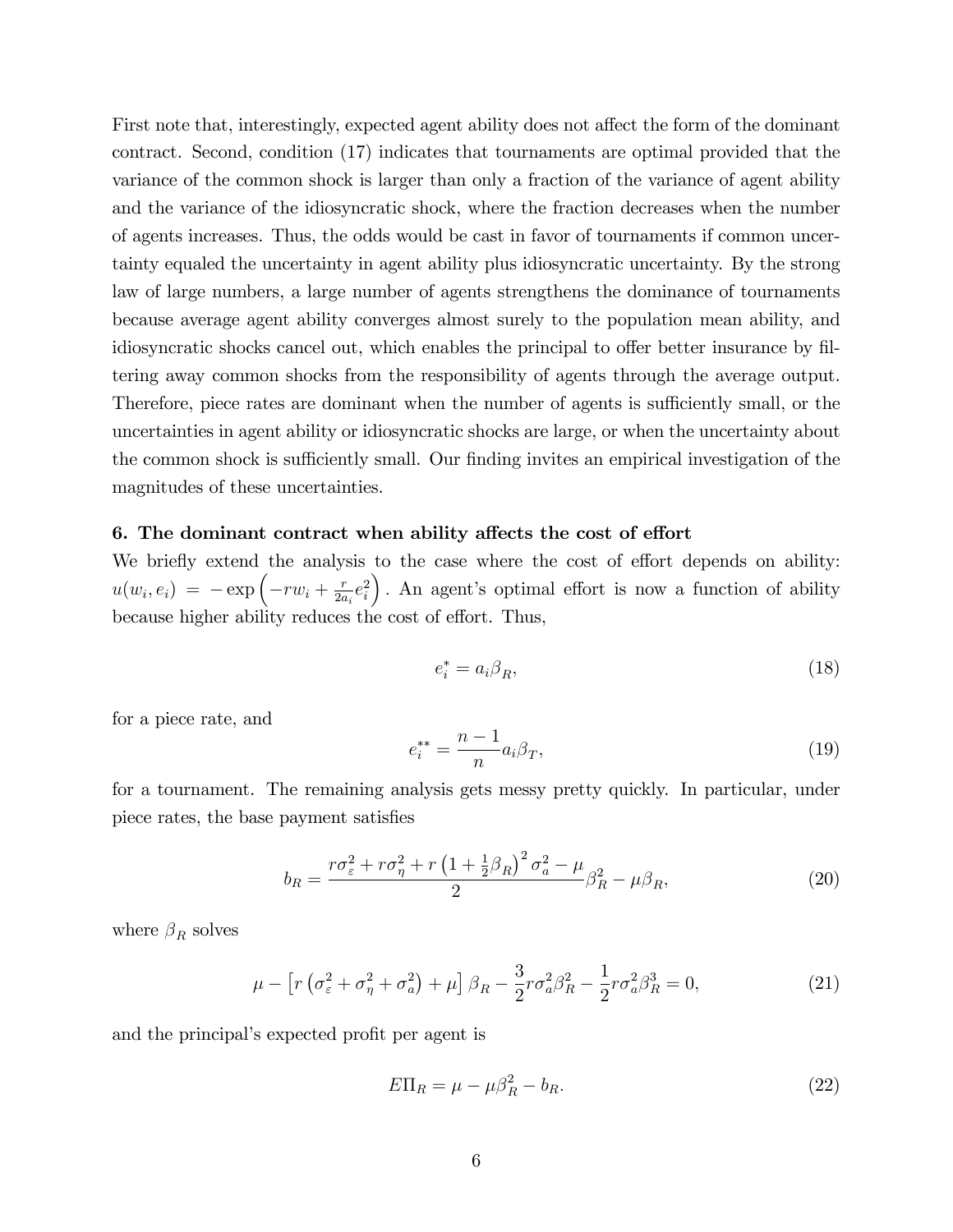First note that, interestingly, expected agent ability does not affect the form of the dominant contract. Second, condition (17) indicates that tournaments are optimal provided that the variance of the common shock is larger than only a fraction of the variance of agent ability and the variance of the idiosyncratic shock, where the fraction decreases when the number of agents increases. Thus, the odds would be cast in favor of tournaments if common uncertainty equaled the uncertainty in agent ability plus idiosyncratic uncertainty. By the strong law of large numbers, a large number of agents strengthens the dominance of tournaments because average agent ability converges almost surely to the population mean ability, and idiosyncratic shocks cancel out, which enables the principal to offer better insurance by filtering away common shocks from the responsibility of agents through the average output. Therefore, piece rates are dominant when the number of agents is sufficiently small, or the uncertainties in agent ability or idiosyncratic shocks are large, or when the uncertainty about the common shock is sufficiently small. Our finding invites an empirical investigation of the magnitudes of these uncertainties.

## 6. The dominant contract when ability affects the cost of effort

We briefly extend the analysis to the case where the cost of effort depends on ability:  $u(w_i, e_i) = -\exp\left(-r w_i + \frac{r}{2a}\right)$  $rac{r}{2a_i}e_i^2$ ). An agent's optimal effort is now a function of ability because higher ability reduces the cost of effort. Thus,

$$
e_i^* = a_i \beta_R,\tag{18}
$$

for a piece rate, and

$$
e_i^{**} = \frac{n-1}{n} a_i \beta_T,
$$
\n(19)

for a tournament. The remaining analysis gets messy pretty quickly. In particular, under piece rates, the base payment satisfies

$$
b_R = \frac{r\sigma_\varepsilon^2 + r\sigma_\eta^2 + r\left(1 + \frac{1}{2}\beta_R\right)^2 \sigma_a^2 - \mu}{2} \beta_R^2 - \mu\beta_R,\tag{20}
$$

where  $\beta_R$  solves

$$
\mu - \left[r\left(\sigma_{\varepsilon}^2 + \sigma_{\eta}^2 + \sigma_{a}^2\right) + \mu\right]\beta_R - \frac{3}{2}r\sigma_a^2\beta_R^2 - \frac{1}{2}r\sigma_a^2\beta_R^3 = 0,\tag{21}
$$

and the principal's expected profit per agent is

$$
E\Pi_R = \mu - \mu \beta_R^2 - b_R. \tag{22}
$$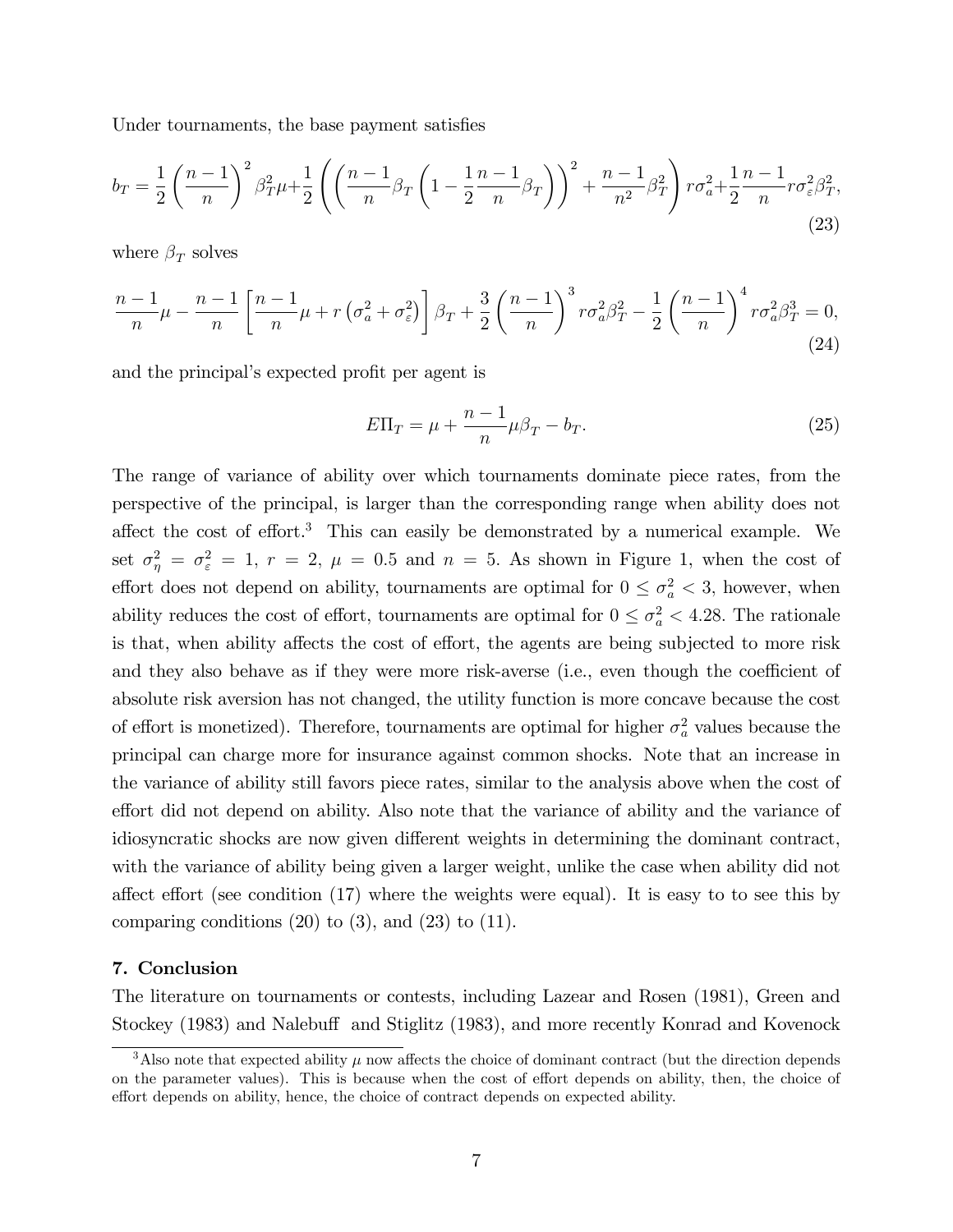Under tournaments, the base payment satisfies

$$
b_T = \frac{1}{2} \left( \frac{n-1}{n} \right)^2 \beta_T^2 \mu + \frac{1}{2} \left( \left( \frac{n-1}{n} \beta_T \left( 1 - \frac{1}{2} \frac{n-1}{n} \beta_T \right) \right)^2 + \frac{n-1}{n^2} \beta_T^2 \right) r \sigma_a^2 + \frac{1}{2} \frac{n-1}{n} r \sigma_\varepsilon^2 \beta_T^2,
$$
\n(23)

where  $\beta_T$  solves

$$
\frac{n-1}{n}\mu - \frac{n-1}{n}\left[\frac{n-1}{n}\mu + r\left(\sigma_a^2 + \sigma_\varepsilon^2\right)\right]\beta_T + \frac{3}{2}\left(\frac{n-1}{n}\right)^3 r\sigma_a^2\beta_T^2 - \frac{1}{2}\left(\frac{n-1}{n}\right)^4 r\sigma_a^2\beta_T^3 = 0,
$$
\n(24)

and the principal's expected profit per agent is

$$
E\Pi_T = \mu + \frac{n-1}{n}\mu\beta_T - b_T.
$$
\n(25)

The range of variance of ability over which tournaments dominate piece rates, from the perspective of the principal, is larger than the corresponding range when ability does not affect the cost of effort.<sup>3</sup> This can easily be demonstrated by a numerical example. We set  $\sigma_{\eta}^2 = \sigma_{\varepsilon}^2 = 1$ ,  $r = 2$ ,  $\mu = 0.5$  and  $n = 5$ . As shown in Figure 1, when the cost of effort does not depend on ability, tournaments are optimal for  $0 \leq \sigma_a^2 < 3$ , however, when ability reduces the cost of effort, tournaments are optimal for  $0 \leq \sigma_a^2 < 4.28$ . The rationale is that, when ability affects the cost of effort, the agents are being subjected to more risk and they also behave as if they were more risk-averse (i.e., even though the coefficient of absolute risk aversion has not changed, the utility function is more concave because the cost of effort is monetized). Therefore, tournaments are optimal for higher  $\sigma_a^2$  values because the principal can charge more for insurance against common shocks. Note that an increase in the variance of ability still favors piece rates, similar to the analysis above when the cost of effort did not depend on ability. Also note that the variance of ability and the variance of idiosyncratic shocks are now given different weights in determining the dominant contract, with the variance of ability being given a larger weight, unlike the case when ability did not affect effort (see condition  $(17)$  where the weights were equal). It is easy to to see this by comparing conditions  $(20)$  to  $(3)$ , and  $(23)$  to  $(11)$ .

## 7. Conclusion

The literature on tournaments or contests, including Lazear and Rosen (1981), Green and Stockey (1983) and Nalebuff and Stiglitz (1983), and more recently Konrad and Kovenock

<sup>&</sup>lt;sup>3</sup>Also note that expected ability  $\mu$  now affects the choice of dominant contract (but the direction depends on the parameter values). This is because when the cost of effort depends on ability, then, the choice of effort depends on ability, hence, the choice of contract depends on expected ability.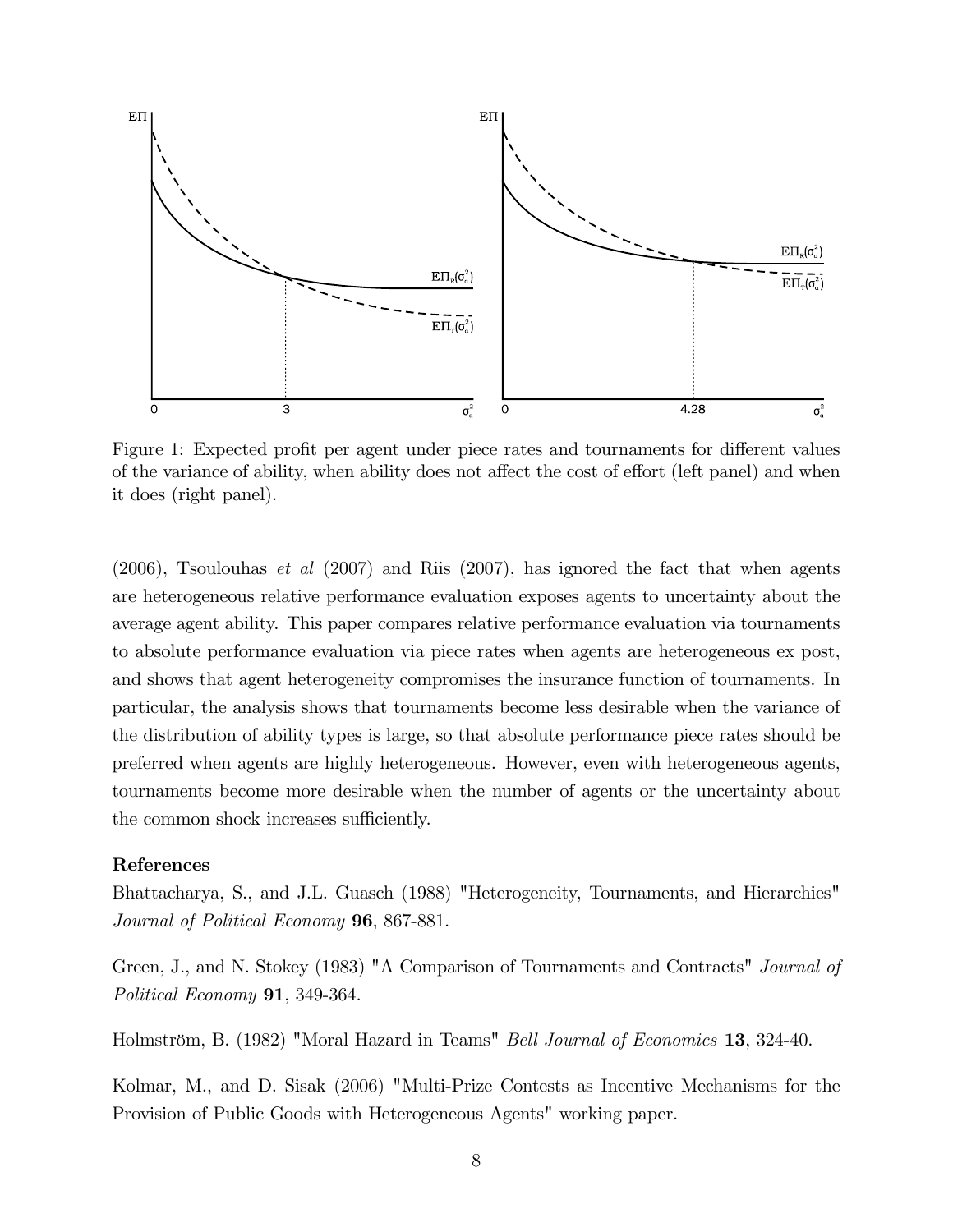

Figure 1: Expected profit per agent under piece rates and tournaments for different values of the variance of ability, when ability does not affect the cost of effort (left panel) and when it does (right panel).

 $(2006)$ , Tsoulouhas *et al*  $(2007)$  and Riis  $(2007)$ , has ignored the fact that when agents are heterogeneous relative performance evaluation exposes agents to uncertainty about the average agent ability. This paper compares relative performance evaluation via tournaments to absolute performance evaluation via piece rates when agents are heterogeneous ex post, and shows that agent heterogeneity compromises the insurance function of tournaments. In particular, the analysis shows that tournaments become less desirable when the variance of the distribution of ability types is large, so that absolute performance piece rates should be preferred when agents are highly heterogeneous. However, even with heterogeneous agents, tournaments become more desirable when the number of agents or the uncertainty about the common shock increases sufficiently.

#### References

Bhattacharya, S., and J.L. Guasch (1988) "Heterogeneity, Tournaments, and Hierarchies" Journal of Political Economy 96, 867-881.

Green, J., and N. Stokey (1983) "A Comparison of Tournaments and Contracts" Journal of Political Economy **91**, 349-364.

Holmström, B. (1982) "Moral Hazard in Teams" *Bell Journal of Economics* 13, 324-40.

Kolmar, M., and D. Sisak (2006) "Multi-Prize Contests as Incentive Mechanisms for the Provision of Public Goods with Heterogeneous Agents" working paper.